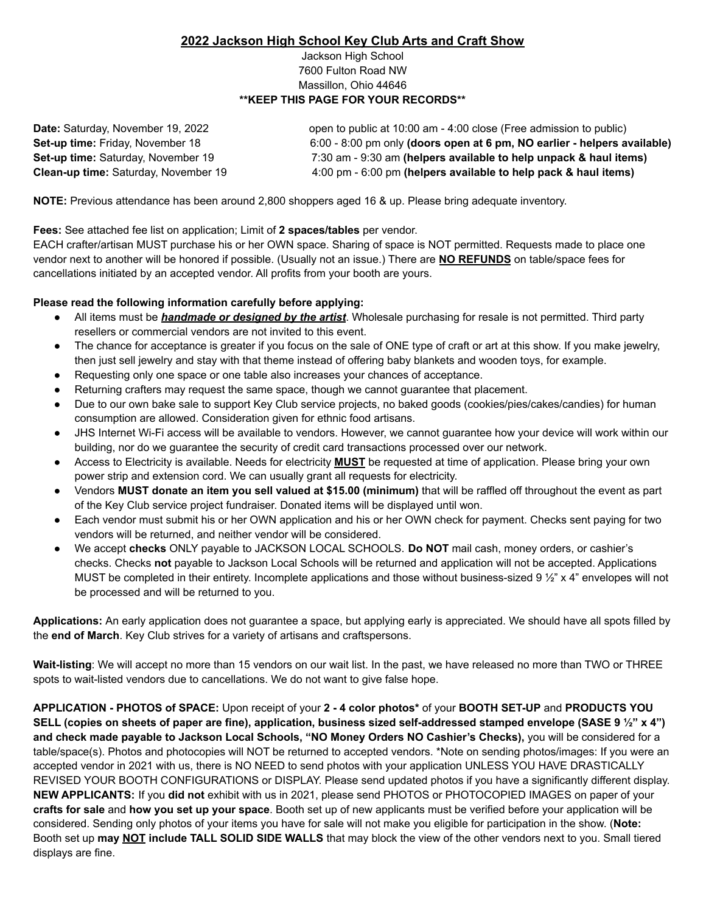### **2022 Jackson High School Key Club Arts and Craft Show**

#### Jackson High School 7600 Fulton Road NW Massillon, Ohio 44646 **\*\*KEEP THIS PAGE FOR YOUR RECORDS\*\***

| Date: Saturday, November 19, 2022         | open to public at 10:00 am - 4:00 close (Free admission to public)       |
|-------------------------------------------|--------------------------------------------------------------------------|
| Set-up time: Friday, November 18          | 6:00 - 8:00 pm only (doors open at 6 pm, NO earlier - helpers available) |
| <b>Set-up time: Saturday, November 19</b> | 7:30 am - 9:30 am (helpers available to help unpack & haul items)        |
| Clean-up time: Saturday, November 19      | 4:00 pm - 6:00 pm (helpers available to help pack & haul items)          |

**NOTE:** Previous attendance has been around 2,800 shoppers aged 16 & up. Please bring adequate inventory.

**Fees:** See attached fee list on application; Limit of **2 spaces/tables** per vendor.

EACH crafter/artisan MUST purchase his or her OWN space. Sharing of space is NOT permitted. Requests made to place one vendor next to another will be honored if possible. (Usually not an issue.) There are **NO REFUNDS** on table/space fees for cancellations initiated by an accepted vendor. All profits from your booth are yours.

### **Please read the following information carefully before applying:**

- All items must be *handmade or designed by the artist*. Wholesale purchasing for resale is not permitted. Third party resellers or commercial vendors are not invited to this event.
- The chance for acceptance is greater if you focus on the sale of ONE type of craft or art at this show. If you make jewelry, then just sell jewelry and stay with that theme instead of offering baby blankets and wooden toys, for example.
- Requesting only one space or one table also increases your chances of acceptance.
- Returning crafters may request the same space, though we cannot guarantee that placement.
- Due to our own bake sale to support Key Club service projects, no baked goods (cookies/pies/cakes/candies) for human consumption are allowed. Consideration given for ethnic food artisans.
- JHS Internet Wi-Fi access will be available to vendors. However, we cannot guarantee how your device will work within our building, nor do we guarantee the security of credit card transactions processed over our network.
- Access to Electricity is available. Needs for electricity MUST be requested at time of application. Please bring your own power strip and extension cord. We can usually grant all requests for electricity.
- Vendors **MUST donate an item you sell valued at \$15.00 (minimum)** that will be raffled off throughout the event as part of the Key Club service project fundraiser. Donated items will be displayed until won.
- Each vendor must submit his or her OWN application and his or her OWN check for payment. Checks sent paying for two vendors will be returned, and neither vendor will be considered.
- We accept **checks** ONLY payable to JACKSON LOCAL SCHOOLS. **Do NOT** mail cash, money orders, or cashier's checks. Checks **not** payable to Jackson Local Schools will be returned and application will not be accepted. Applications MUST be completed in their entirety. Incomplete applications and those without business-sized 9  $\frac{1}{2}$  x 4" envelopes will not be processed and will be returned to you.

**Applications:** An early application does not guarantee a space, but applying early is appreciated. We should have all spots filled by the **end of March**. Key Club strives for a variety of artisans and craftspersons.

**Wait-listing**: We will accept no more than 15 vendors on our wait list. In the past, we have released no more than TWO or THREE spots to wait-listed vendors due to cancellations. We do not want to give false hope.

**APPLICATION - PHOTOS of SPACE:** Upon receipt of your **2 - 4 color photos\*** of your **BOOTH SET-UP** and **PRODUCTS YOU** SELL (copies on sheets of paper are fine), application, business sized self-addressed stamped envelope (SASE 9 1/2" x 4") **and check made payable to Jackson Local Schools, "NO Money Orders NO Cashier's Checks),** you will be considered for a table/space(s). Photos and photocopies will NOT be returned to accepted vendors. \*Note on sending photos/images: If you were an accepted vendor in 2021 with us, there is NO NEED to send photos with your application UNLESS YOU HAVE DRASTICALLY REVISED YOUR BOOTH CONFIGURATIONS or DISPLAY. Please send updated photos if you have a significantly different display. **NEW APPLICANTS:** If you **did not** exhibit with us in 2021, please send PHOTOS or PHOTOCOPIED IMAGES on paper of your **crafts for sale** and **how you set up your space**. Booth set up of new applicants must be verified before your application will be considered. Sending only photos of your items you have for sale will not make you eligible for participation in the show. (**Note:** Booth set up **may NOT include TALL SOLID SIDE WALLS** that may block the view of the other vendors next to you. Small tiered displays are fine.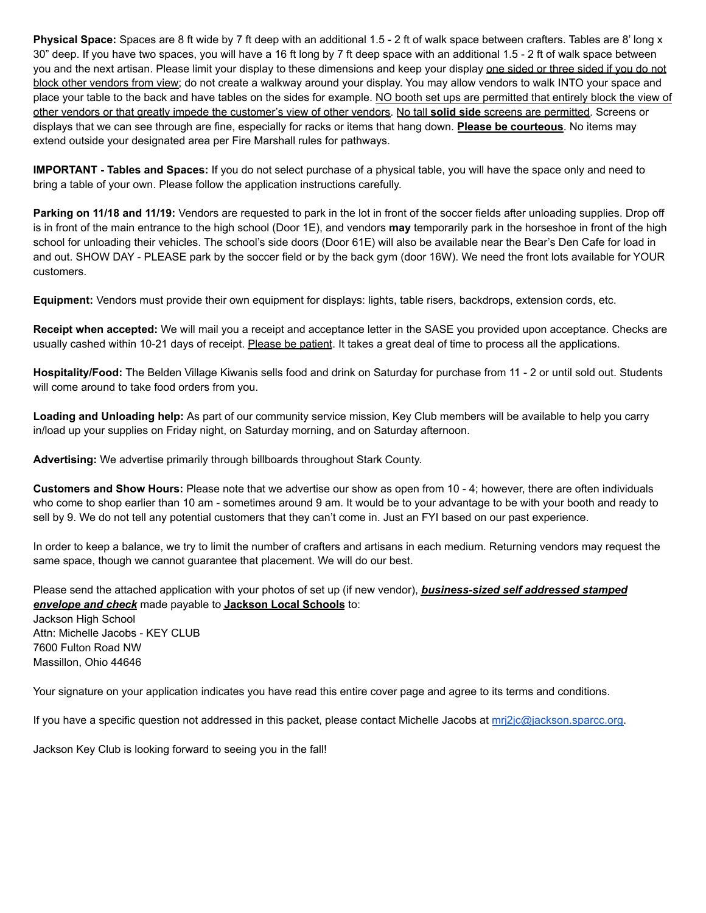**Physical Space:** Spaces are 8 ft wide by 7 ft deep with an additional 1.5 - 2 ft of walk space between crafters. Tables are 8' long x 30" deep. If you have two spaces, you will have a 16 ft long by 7 ft deep space with an additional 1.5 - 2 ft of walk space between you and the next artisan. Please limit your display to these dimensions and keep your display one sided or three sided if you do not block other vendors from view; do not create a walkway around your display. You may allow vendors to walk INTO your space and place your table to the back and have tables on the sides for example. NO booth set ups are permitted that entirely block the view of other vendors or that greatly impede the customer's view of other vendors. No tall **solid side** screens are permitted. Screens or displays that we can see through are fine, especially for racks or items that hang down. **Please be courteous**. No items may extend outside your designated area per Fire Marshall rules for pathways.

**IMPORTANT - Tables and Spaces:** If you do not select purchase of a physical table, you will have the space only and need to bring a table of your own. Please follow the application instructions carefully.

**Parking on 11/18 and 11/19:** Vendors are requested to park in the lot in front of the soccer fields after unloading supplies. Drop off is in front of the main entrance to the high school (Door 1E), and vendors **may** temporarily park in the horseshoe in front of the high school for unloading their vehicles. The school's side doors (Door 61E) will also be available near the Bear's Den Cafe for load in and out. SHOW DAY - PLEASE park by the soccer field or by the back gym (door 16W). We need the front lots available for YOUR customers.

**Equipment:** Vendors must provide their own equipment for displays: lights, table risers, backdrops, extension cords, etc.

**Receipt when accepted:** We will mail you a receipt and acceptance letter in the SASE you provided upon acceptance. Checks are usually cashed within 10-21 days of receipt. Please be patient. It takes a great deal of time to process all the applications.

**Hospitality/Food:** The Belden Village Kiwanis sells food and drink on Saturday for purchase from 11 - 2 or until sold out. Students will come around to take food orders from you.

**Loading and Unloading help:** As part of our community service mission, Key Club members will be available to help you carry in/load up your supplies on Friday night, on Saturday morning, and on Saturday afternoon.

**Advertising:** We advertise primarily through billboards throughout Stark County.

**Customers and Show Hours:** Please note that we advertise our show as open from 10 - 4; however, there are often individuals who come to shop earlier than 10 am - sometimes around 9 am. It would be to your advantage to be with your booth and ready to sell by 9. We do not tell any potential customers that they can't come in. Just an FYI based on our past experience.

In order to keep a balance, we try to limit the number of crafters and artisans in each medium. Returning vendors may request the same space, though we cannot guarantee that placement. We will do our best.

Please send the attached application with your photos of set up (if new vendor), *business-sized self addressed stamped envelope and check* made payable to **Jackson Local Schools** to: Jackson High School Attn: Michelle Jacobs - KEY CLUB 7600 Fulton Road NW Massillon, Ohio 44646

Your signature on your application indicates you have read this entire cover page and agree to its terms and conditions.

If you have a specific question not addressed in this packet, please contact Michelle Jacobs at [mrj2jc@jackson.sparcc.org.](mailto:mrj2jc@jackson.sparcc.org)

Jackson Key Club is looking forward to seeing you in the fall!